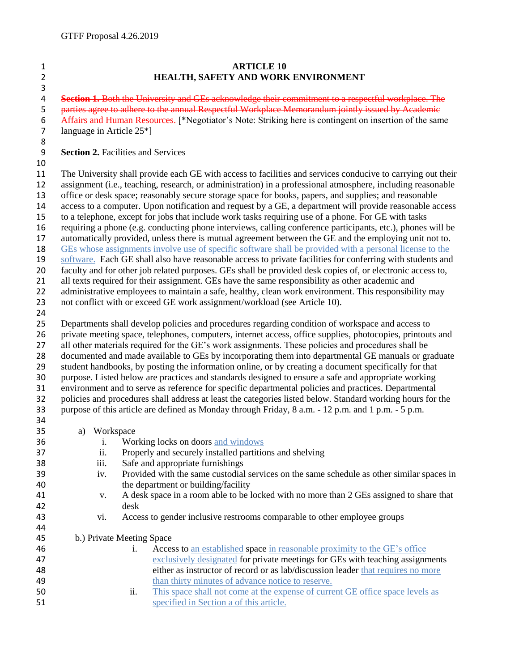## **ARTICLE 10 HEALTH, SAFETY AND WORK ENVIRONMENT Section 1.** Both the University and GEs acknowledge their commitment to a respectful workplace. The 5 parties agree to adhere to the annual Respectful Workplace Memorandum jointly issued by Academic 6 Affairs and Human Resources. [\*Negotiator's Note: Striking here is contingent on insertion of the same<br>7 language in Article 25\*] language in Article  $25*$ ] **Section 2.** Facilities and Services The University shall provide each GE with access to facilities and services conducive to carrying out their assignment (i.e., teaching, research, or administration) in a professional atmosphere, including reasonable office or desk space; reasonably secure storage space for books, papers, and supplies; and reasonable access to a computer. Upon notification and request by a GE, a department will provide reasonable access to a telephone, except for jobs that include work tasks requiring use of a phone. For GE with tasks requiring a phone (e.g. conducting phone interviews, calling conference participants, etc.), phones will be automatically provided, unless there is mutual agreement between the GE and the employing unit not to. GEs whose assignments involve use of specific software shall be provided with a personal license to the software. Each GE shall also have reasonable access to private facilities for conferring with students and faculty and for other job related purposes. GEs shall be provided desk copies of, or electronic access to, all texts required for their assignment. GEs have the same responsibility as other academic and administrative employees to maintain a safe, healthy, clean work environment. This responsibility may 23 not conflict with or exceed GE work assignment/workload (see Article 10). Departments shall develop policies and procedures regarding condition of workspace and access to private meeting space, telephones, computers, internet access, office supplies, photocopies, printouts and all other materials required for the GE's work assignments. These policies and procedures shall be documented and made available to GEs by incorporating them into departmental GE manuals or graduate student handbooks, by posting the information online, or by creating a document specifically for that purpose. Listed below are practices and standards designed to ensure a safe and appropriate working environment and to serve as reference for specific departmental policies and practices. Departmental policies and procedures shall address at least the categories listed below. Standard working hours for the purpose of this article are defined as Monday through Friday, 8 a.m. - 12 p.m. and 1 p.m. - 5 p.m. a) Workspace i. Working locks on doors and windows ii. Properly and securely installed partitions and shelving iii. Safe and appropriate furnishings iv. Provided with the same custodial services on the same schedule as other similar spaces in the department or building/facility v. A desk space in a room able to be locked with no more than 2 GEs assigned to share that desk vi. Access to gender inclusive restrooms comparable to other employee groups b.) Private Meeting Space i. Access to an established space in reasonable proximity to the GE's office exclusively designated for private meetings for GEs with teaching assignments either as instructor of record or as lab/discussion leader that requires no more than thirty minutes of advance notice to reserve. ii. This space shall not come at the expense of current GE office space levels as specified in Section a of this article.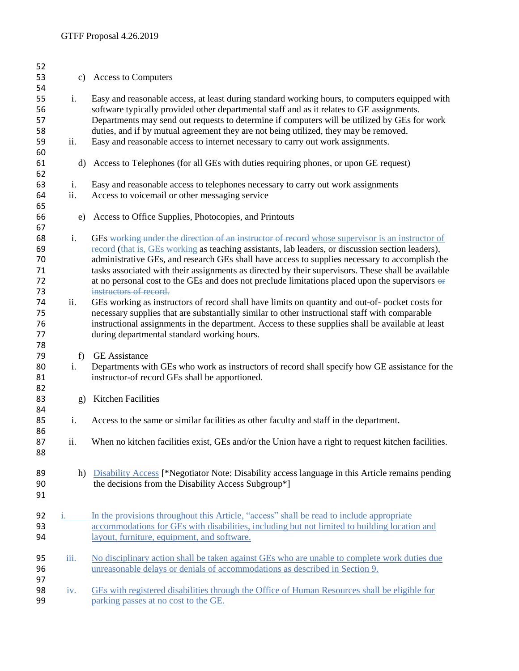| 52<br>53       | c)           | <b>Access to Computers</b>                                                                                                                                                                                                                                                                  |  |  |
|----------------|--------------|---------------------------------------------------------------------------------------------------------------------------------------------------------------------------------------------------------------------------------------------------------------------------------------------|--|--|
| 54             |              |                                                                                                                                                                                                                                                                                             |  |  |
| 55<br>56<br>57 | i.           | Easy and reasonable access, at least during standard working hours, to computers equipped with<br>software typically provided other departmental staff and as it relates to GE assignments.<br>Departments may send out requests to determine if computers will be utilized by GEs for work |  |  |
| 58<br>59       | ii.          | duties, and if by mutual agreement they are not being utilized, they may be removed.<br>Easy and reasonable access to internet necessary to carry out work assignments.                                                                                                                     |  |  |
| 60<br>61       | d)           | Access to Telephones (for all GEs with duties requiring phones, or upon GE request)                                                                                                                                                                                                         |  |  |
| 62             |              |                                                                                                                                                                                                                                                                                             |  |  |
| 63<br>64<br>65 | i.<br>ii.    | Easy and reasonable access to telephones necessary to carry out work assignments<br>Access to voicemail or other messaging service                                                                                                                                                          |  |  |
| 66<br>67       | e)           | Access to Office Supplies, Photocopies, and Printouts                                                                                                                                                                                                                                       |  |  |
| 68             | i.           | GEs working under the direction of an instructor of record whose supervisor is an instructor of                                                                                                                                                                                             |  |  |
| 69<br>70       |              | record (that is, GEs working as teaching assistants, lab leaders, or discussion section leaders),<br>administrative GEs, and research GEs shall have access to supplies necessary to accomplish the                                                                                         |  |  |
| 71             |              | tasks associated with their assignments as directed by their supervisors. These shall be available                                                                                                                                                                                          |  |  |
| 72             |              | at no personal cost to the GEs and does not preclude limitations placed upon the supervisors $\Theta$ .                                                                                                                                                                                     |  |  |
| 73<br>74       | ii.          | instructors of record.<br>GEs working as instructors of record shall have limits on quantity and out-of- pocket costs for                                                                                                                                                                   |  |  |
| 75             |              | necessary supplies that are substantially similar to other instructional staff with comparable                                                                                                                                                                                              |  |  |
| 76             |              | instructional assignments in the department. Access to these supplies shall be available at least                                                                                                                                                                                           |  |  |
| 77             |              | during departmental standard working hours.                                                                                                                                                                                                                                                 |  |  |
| 78             |              |                                                                                                                                                                                                                                                                                             |  |  |
| 79<br>80       | f)<br>i.     | <b>GE</b> Assistance<br>Departments with GEs who work as instructors of record shall specify how GE assistance for the                                                                                                                                                                      |  |  |
| 81<br>82       |              | instructor-of record GEs shall be apportioned.                                                                                                                                                                                                                                              |  |  |
| 83<br>84       | $\mathbf{g}$ | <b>Kitchen Facilities</b>                                                                                                                                                                                                                                                                   |  |  |
| 85<br>86       | i.           | Access to the same or similar facilities as other faculty and staff in the department.                                                                                                                                                                                                      |  |  |
| 87<br>88       | ii.          | When no kitchen facilities exist, GEs and/or the Union have a right to request kitchen facilities.                                                                                                                                                                                          |  |  |
| 89<br>90<br>91 | h)           | Disability Access [*Negotiator Note: Disability access language in this Article remains pending<br>the decisions from the Disability Access Subgroup*]                                                                                                                                      |  |  |
| 92             | 1.           | In the provisions throughout this Article, "access" shall be read to include appropriate                                                                                                                                                                                                    |  |  |
| 93<br>94       |              | accommodations for GEs with disabilities, including but not limited to building location and<br>layout, furniture, equipment, and software.                                                                                                                                                 |  |  |
| 95             | iii.         | No disciplinary action shall be taken against GEs who are unable to complete work duties due                                                                                                                                                                                                |  |  |
| 96<br>97       |              | unreasonable delays or denials of accommodations as described in Section 9.                                                                                                                                                                                                                 |  |  |
| 98<br>99       | iv.          | GEs with registered disabilities through the Office of Human Resources shall be eligible for<br>parking passes at no cost to the GE.                                                                                                                                                        |  |  |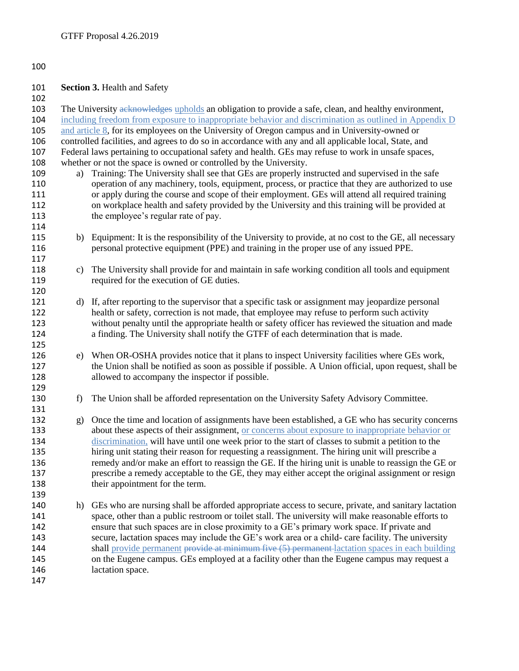## 

**Section 3. Health and Safety** 

103 The University acknowledges upholds an obligation to provide a safe, clean, and healthy environment, including freedom from exposure to inappropriate behavior and discrimination as outlined in Appendix D and article 8, for its employees on the University of Oregon campus and in University-owned or controlled facilities, and agrees to do so in accordance with any and all applicable local, State, and Federal laws pertaining to occupational safety and health. GEs may refuse to work in unsafe spaces, whether or not the space is owned or controlled by the University. a) Training: The University shall see that GEs are properly instructed and supervised in the safe operation of any machinery, tools, equipment, process, or practice that they are authorized to use or apply during the course and scope of their employment. GEs will attend all required training on workplace health and safety provided by the University and this training will be provided at 113 the employee's regular rate of pay. b) Equipment: It is the responsibility of the University to provide, at no cost to the GE, all necessary personal protective equipment (PPE) and training in the proper use of any issued PPE. c) The University shall provide for and maintain in safe working condition all tools and equipment required for the execution of GE duties. d) If, after reporting to the supervisor that a specific task or assignment may jeopardize personal health or safety, correction is not made, that employee may refuse to perform such activity without penalty until the appropriate health or safety officer has reviewed the situation and made a finding. The University shall notify the GTFF of each determination that is made. e) When OR-OSHA provides notice that it plans to inspect University facilities where GEs work, the Union shall be notified as soon as possible if possible. A Union official, upon request, shall be allowed to accompany the inspector if possible. 130 f) The Union shall be afforded representation on the University Safety Advisory Committee. g) Once the time and location of assignments have been established, a GE who has security concerns about these aspects of their assignment, or concerns about exposure to inappropriate behavior or discrimination, will have until one week prior to the start of classes to submit a petition to the hiring unit stating their reason for requesting a reassignment. The hiring unit will prescribe a remedy and/or make an effort to reassign the GE. If the hiring unit is unable to reassign the GE or prescribe a remedy acceptable to the GE, they may either accept the original assignment or resign 138 their appointment for the term. h) GEs who are nursing shall be afforded appropriate access to secure, private, and sanitary lactation space, other than a public restroom or toilet stall. The university will make reasonable efforts to ensure that such spaces are in close proximity to a GE's primary work space. If private and secure, lactation spaces may include the GE's work area or a child- care facility. The university 144 shall provide permanent provide at minimum five (5) permanent lactation spaces in each building on the Eugene campus. GEs employed at a facility other than the Eugene campus may request a lactation space.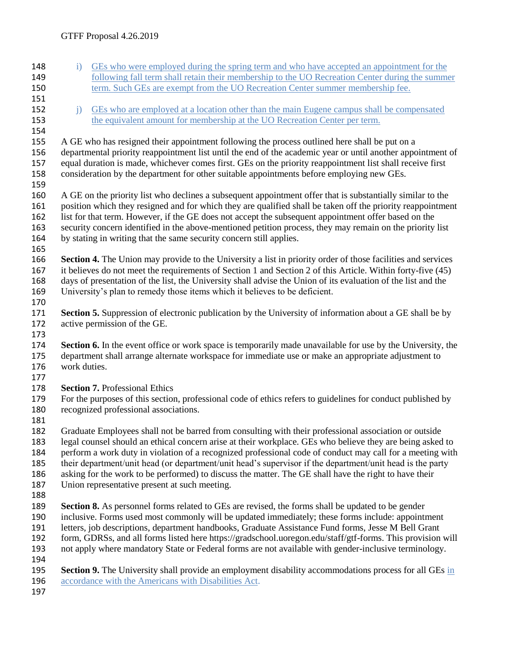148 i) GEs who were employed during the spring term and who have accepted an appointment for the 149 following fall term shall retain their membership to the UO Recreation Center during the summer term. Such GEs are exempt from the UO Recreation Center summer membership fee. 152 i) GEs who are employed at a location other than the main Eugene campus shall be compensated the equivalent amount for membership at the UO Recreation Center per term. 155 A GE who has resigned their appointment following the process outlined here shall be put on a departmental priority reappointment list until the end of the academic year or until another appointment of equal duration is made, whichever comes first. GEs on the priority reappointment list shall receive first consideration by the department for other suitable appointments before employing new GEs. A GE on the priority list who declines a subsequent appointment offer that is substantially similar to the position which they resigned and for which they are qualified shall be taken off the priority reappointment list for that term. However, if the GE does not accept the subsequent appointment offer based on the security concern identified in the above-mentioned petition process, they may remain on the priority list by stating in writing that the same security concern still applies. **Section 4.** The Union may provide to the University a list in priority order of those facilities and services it believes do not meet the requirements of Section 1 and Section 2 of this Article. Within forty-five (45) days of presentation of the list, the University shall advise the Union of its evaluation of the list and the University's plan to remedy those items which it believes to be deficient. **Section 5.** Suppression of electronic publication by the University of information about a GE shall be by active permission of the GE. **Section 6.** In the event office or work space is temporarily made unavailable for use by the University, the department shall arrange alternate workspace for immediate use or make an appropriate adjustment to work duties. **Section 7.** Professional Ethics For the purposes of this section, professional code of ethics refers to guidelines for conduct published by recognized professional associations. Graduate Employees shall not be barred from consulting with their professional association or outside legal counsel should an ethical concern arise at their workplace. GEs who believe they are being asked to perform a work duty in violation of a recognized professional code of conduct may call for a meeting with their department/unit head (or department/unit head's supervisor if the department/unit head is the party asking for the work to be performed) to discuss the matter. The GE shall have the right to have their Union representative present at such meeting. **Section 8.** As personnel forms related to GEs are revised, the forms shall be updated to be gender inclusive. Forms used most commonly will be updated immediately; these forms include: appointment letters, job descriptions, department handbooks, Graduate Assistance Fund forms, Jesse M Bell Grant form, GDRSs, and all forms listed here https://gradschool.uoregon.edu/staff/gtf-forms. This provision will not apply where mandatory State or Federal forms are not available with gender-inclusive terminology. **Section 9.** The University shall provide an employment disability accommodations process for all GEs in 196 accordance with the Americans with Disabilities Act.